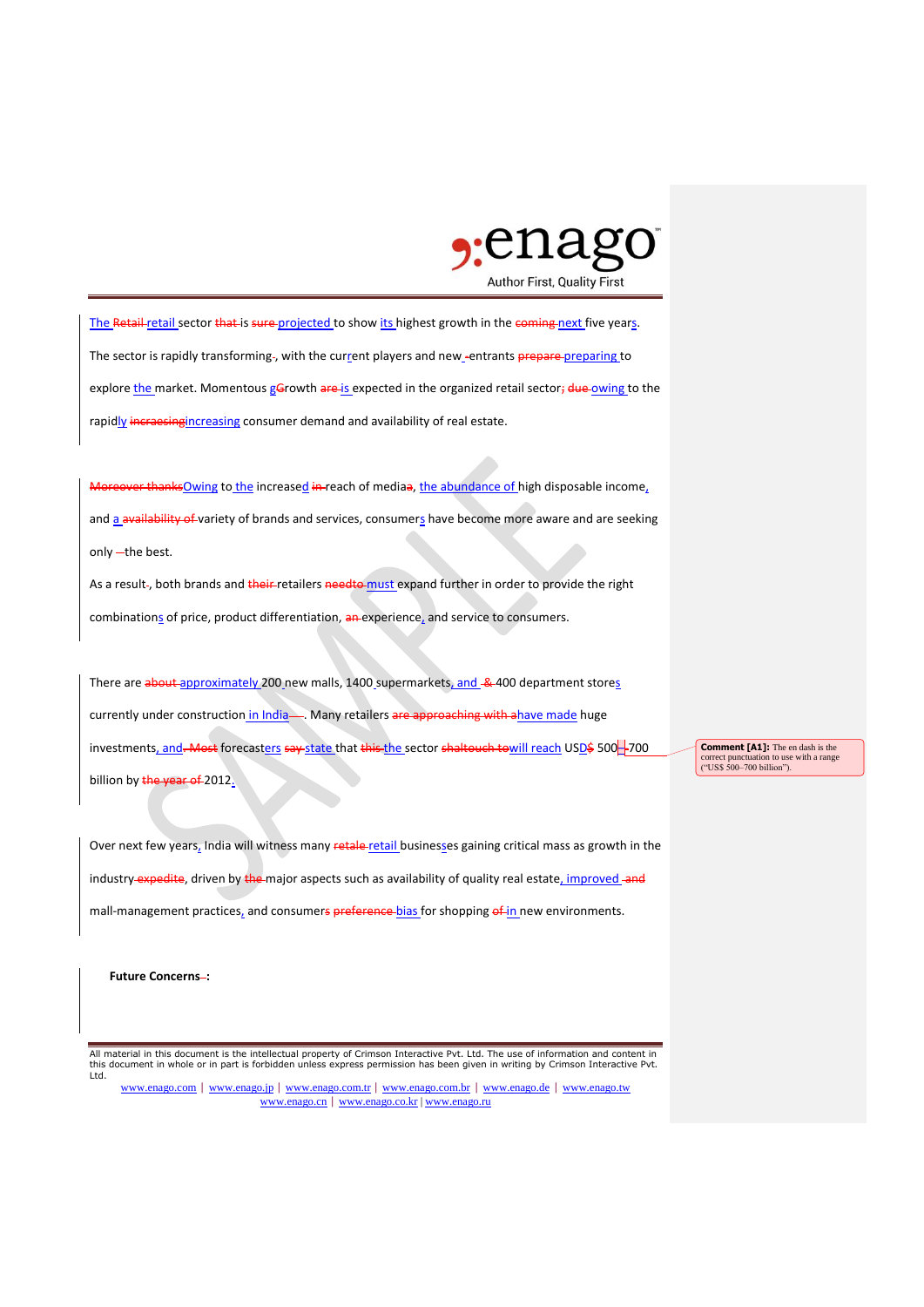

The Retail-retail sector that is sure projected to show its highest growth in the coming next five years. The sector is rapidly transforming-, with the current players and new -entrants prepare-preparing to explore the market. Momentous gGrowth are is expected in the organized retail sector; due owing to the rapidly incraesingincreasing consumer demand and availability of real estate.

Moreover thanksOwing to the increased in reach of mediaa, the abundance of high disposable income, and a availability of variety of brands and services, consumers have become more aware and are seeking only -- the best.

As a result-, both brands and their retailers needto must expand further in order to provide the right combinations of price, product differentiation, an experience, and service to consumers.

There are about approximately 200 new malls, 1400 supermarkets, and & 400 department stores currently under construction in India ... Many retailers are approaching with ahave made huge investments, and. Most forecasters say state that this the sector shaltouch towill reach USD\$ 500-700 billion by the year of 2012.

Over next few years, India will witness many retale retail businesses gaining critical mass as growth in the industry expedite, driven by the major aspects such as availability of quality real estate, improved and mall-management practices, and consumers preference bias for shopping of in new environments.

**Future Concerns-:** 

All material in this document is the intellectual property of Crimson Interactive Pvt. Ltd. The use of information and content in this document in whole or in part is forbidden unless express permission has been given in writing by Crimson Interactive Pvt. Ltd.

www.enago.com | www.enago.jp | www.enago.com.tr | www.enago.com.br | www.enago.de | www.enago.tw www.enago.cn | www.enago.co.kr | www.enago.ru

**Comment [A1]:** The en dash is the correct punctuation to use with a range ("US\$ 500–700 billion").